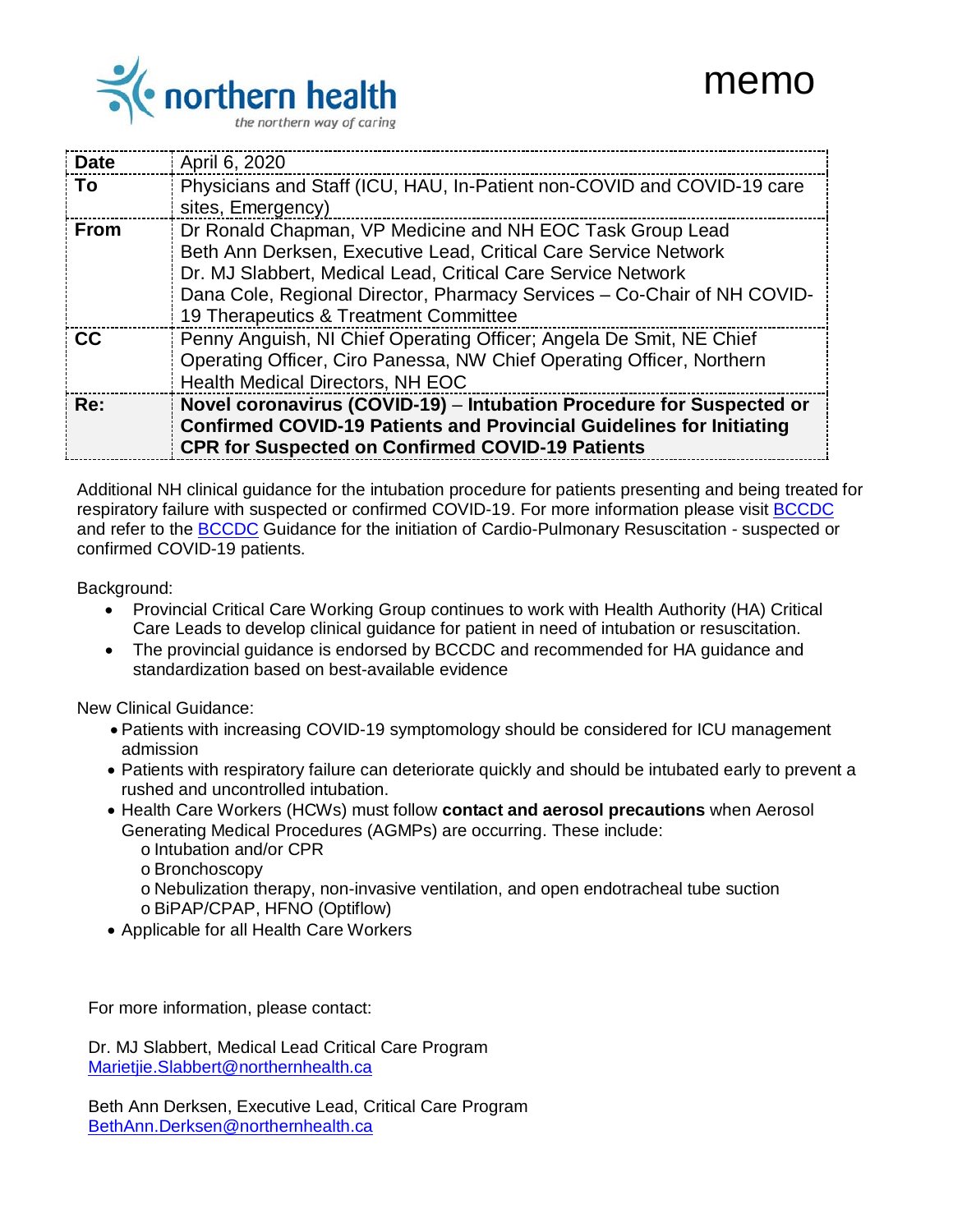

| <b>Date</b> | April 6, 2020                                                                                                                                                                                                                                                                                                    |
|-------------|------------------------------------------------------------------------------------------------------------------------------------------------------------------------------------------------------------------------------------------------------------------------------------------------------------------|
| Τo          | Physicians and Staff (ICU, HAU, In-Patient non-COVID and COVID-19 care<br>sites, Emergency)                                                                                                                                                                                                                      |
| From        | Dr Ronald Chapman, VP Medicine and NH EOC Task Group Lead<br>Beth Ann Derksen, Executive Lead, Critical Care Service Network<br>Dr. MJ Slabbert, Medical Lead, Critical Care Service Network<br>Dana Cole, Regional Director, Pharmacy Services - Co-Chair of NH COVID-<br>19 Therapeutics & Treatment Committee |
| <b>CC</b>   | Penny Anguish, NI Chief Operating Officer; Angela De Smit, NE Chief<br>Operating Officer, Ciro Panessa, NW Chief Operating Officer, Northern<br>Health Medical Directors, NH EOC                                                                                                                                 |
| Re:         | Novel coronavirus (COVID-19) - Intubation Procedure for Suspected or<br><b>Confirmed COVID-19 Patients and Provincial Guidelines for Initiating</b><br><b>CPR for Suspected on Confirmed COVID-19 Patients</b>                                                                                                   |

Additional NH clinical guidance for the intubation procedure for patients presenting and being treated for respiratory failure with suspected or confirmed COVID-19. For more information please visit [BCCDC](http://www.bccdc.ca/health-professionals/clinical-resources/covid-19-care/clinical-care/hospital-and-critical-care) and refer to the [BCCDC](http://www.bccdc.ca/Health-Info-Site/Documents/COVID_Adult_CPR_Protocol.pdf) Guidance for the initiation of Cardio-Pulmonary Resuscitation - suspected or confirmed COVID-19 patients.

Background:

- Provincial Critical Care Working Group continues to work with Health Authority (HA) Critical Care Leads to develop clinical guidance for patient in need of intubation or resuscitation.
- The provincial guidance is endorsed by BCCDC and recommended for HA guidance and standardization based on best-available evidence

New Clinical Guidance:

- Patients with increasing COVID-19 symptomology should be considered for ICU management admission
- Patients with respiratory failure can deteriorate quickly and should be intubated early to prevent a rushed and uncontrolled intubation.
- Health Care Workers (HCWs) must follow **contact and aerosol precautions** when Aerosol Generating Medical Procedures (AGMPs) are occurring. These include:
	- o Intubation and/or CPR
	- o Bronchoscopy
	- o Nebulization therapy, non-invasive ventilation, and open endotracheal tube suction
	- o BiPAP/CPAP, HFNO (Optiflow)
- Applicable for all Health Care Workers

For more information, please contact:

Dr. MJ Slabbert, Medical Lead Critical Care Program [Marietjie.Slabbert@northernhealth.ca](mailto:Marietjie.Slabbert@northernhealth.ca)

Beth Ann Derksen, Executive Lead, Critical Care Program [BethAnn.Derksen@northernhealth.ca](mailto:BethAnn.Derksen@northernhealth.ca)